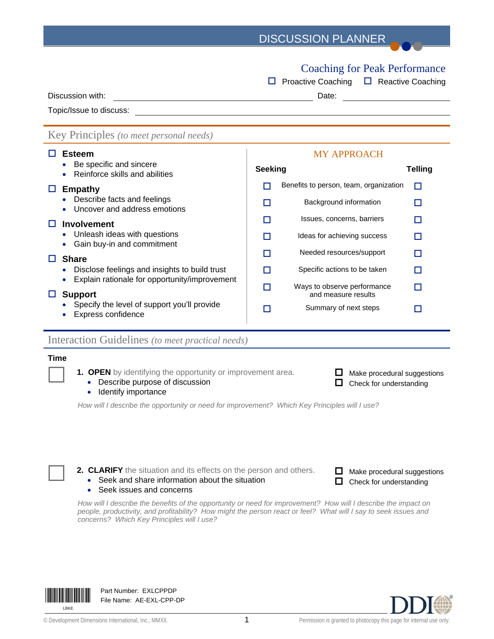## DISCUSSION PLANNER

## Coaching for Peak Performance

|                                                                                                | <b>Proactive Coaching</b><br><b>Reactive Coaching</b><br>ш                                                            |
|------------------------------------------------------------------------------------------------|-----------------------------------------------------------------------------------------------------------------------|
| Discussion with:                                                                               | Date:                                                                                                                 |
| Topic/Issue to discuss:                                                                        | <u>and the state of the state of the state of the state of the state of the state of the state of the state of th</u> |
| Key Principles (to meet personal needs)                                                        |                                                                                                                       |
| <b>Esteem</b>                                                                                  | <b>MY APPROACH</b>                                                                                                    |
| Be specific and sincere<br>Reinforce skills and abilities                                      | <b>Seeking</b><br><b>Telling</b>                                                                                      |
| <b>Empathy</b><br>ப                                                                            | Benefits to person, team, organization<br>П<br>П                                                                      |
| Describe facts and feelings<br>Uncover and address emotions                                    | Background information<br>П                                                                                           |
| <b>Involvement</b>                                                                             | Issues, concerns, barriers<br>П                                                                                       |
| Unleash ideas with questions<br>Gain buy-in and commitment                                     | Ideas for achieving success<br>П<br>ш                                                                                 |
| <b>Share</b><br>. .                                                                            | Needed resources/support<br>П<br>П                                                                                    |
| Disclose feelings and insights to build trust<br>Explain rationale for opportunity/improvement | Specific actions to be taken<br>П                                                                                     |
| <b>Support</b>                                                                                 | Ways to observe performance<br>П<br>П<br>and measure results                                                          |
| Specify the level of support you'll provide<br>$Euranaa$ confidence                            | Summary of next steps                                                                                                 |

• Express confidence

#### Interaction Guidelines *(to meet practical needs)*

#### **Time**

- **1. OPEN** by identifying the opportunity or improvement area.
	- Describe purpose of discussion
	- Identify importance

*How will I describe the opportunity or need for improvement? Which Key Principles will I use?*

**2. CLARIFY** the situation and its effects on the person and others.

• Seek and share information about the situation

#### • Seek issues and concerns

*How will I describe the benefits of the opportunity or need for improvement? How will I describe the impact on people, productivity, and profitability? How might the person react or feel? What will I say to seek issues and concerns? Which Key Principles will I use?*



Part Number: EXLCPPDP File Name: AE-EXL-CPP-DP



 $\Box$  Make procedural suggestions  $\Box$  Check for understanding

 $\Box$  Make procedural suggestions  $\Box$  Check for understanding